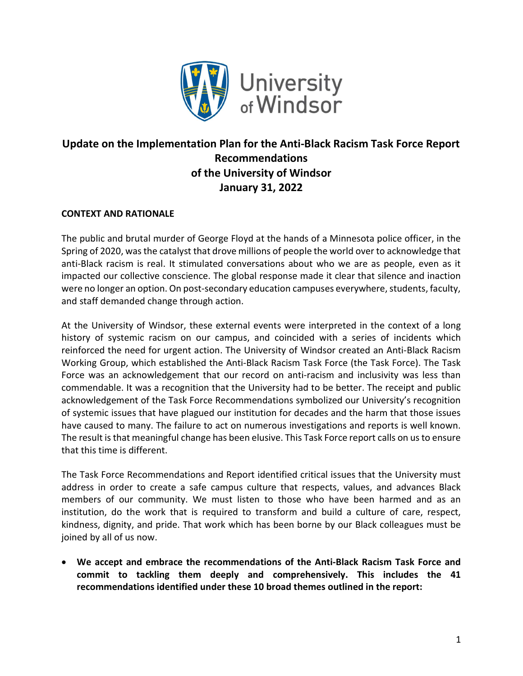

# Update on the Implementation Plan for the Anti-Black Racism Task Force Report Recommendations of the University of Windsor January 31, 2022

# CONTEXT AND RATIONALE

The public and brutal murder of George Floyd at the hands of a Minnesota police officer, in the Spring of 2020, was the catalyst that drove millions of people the world over to acknowledge that anti-Black racism is real. It stimulated conversations about who we are as people, even as it impacted our collective conscience. The global response made it clear that silence and inaction were no longer an option. On post-secondary education campuses everywhere, students, faculty, and staff demanded change through action.

At the University of Windsor, these external events were interpreted in the context of a long history of systemic racism on our campus, and coincided with a series of incidents which reinforced the need for urgent action. The University of Windsor created an Anti-Black Racism Working Group, which established the Anti-Black Racism Task Force (the Task Force). The Task Force was an acknowledgement that our record on anti-racism and inclusivity was less than commendable. It was a recognition that the University had to be better. The receipt and public acknowledgement of the Task Force Recommendations symbolized our University's recognition of systemic issues that have plagued our institution for decades and the harm that those issues have caused to many. The failure to act on numerous investigations and reports is well known. The result is that meaningful change has been elusive. This Task Force report calls on us to ensure that this time is different.

The Task Force Recommendations and Report identified critical issues that the University must address in order to create a safe campus culture that respects, values, and advances Black members of our community. We must listen to those who have been harmed and as an institution, do the work that is required to transform and build a culture of care, respect, kindness, dignity, and pride. That work which has been borne by our Black colleagues must be joined by all of us now.

 We accept and embrace the recommendations of the Anti-Black Racism Task Force and commit to tackling them deeply and comprehensively. This includes the 41 recommendations identified under these 10 broad themes outlined in the report: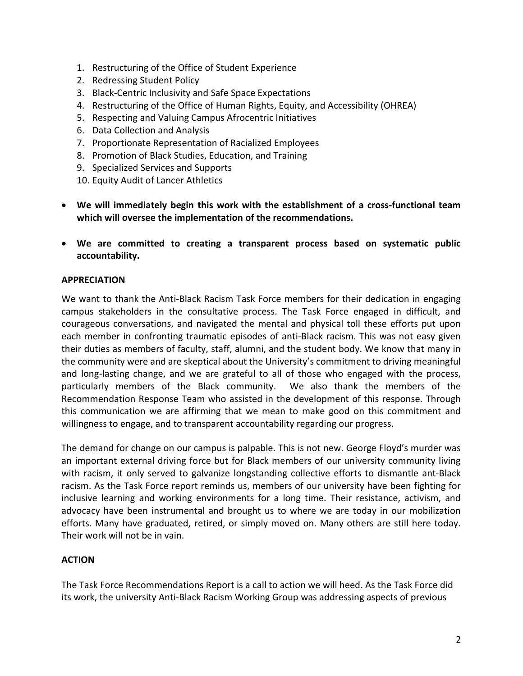- 1. Restructuring of the Office of Student Experience
- 2. Redressing Student Policy
- 3. Black-Centric Inclusivity and Safe Space Expectations
- 4. Restructuring of the Office of Human Rights, Equity, and Accessibility (OHREA)
- 5. Respecting and Valuing Campus Afrocentric Initiatives
- 6. Data Collection and Analysis
- 7. Proportionate Representation of Racialized Employees
- 8. Promotion of Black Studies, Education, and Training
- 9. Specialized Services and Supports
- 10. Equity Audit of Lancer Athletics
- We will immediately begin this work with the establishment of a cross-functional team which will oversee the implementation of the recommendations.
- We are committed to creating a transparent process based on systematic public accountability.

#### APPRECIATION

We want to thank the Anti-Black Racism Task Force members for their dedication in engaging campus stakeholders in the consultative process. The Task Force engaged in difficult, and courageous conversations, and navigated the mental and physical toll these efforts put upon each member in confronting traumatic episodes of anti-Black racism. This was not easy given their duties as members of faculty, staff, alumni, and the student body. We know that many in the community were and are skeptical about the University's commitment to driving meaningful and long-lasting change, and we are grateful to all of those who engaged with the process, particularly members of the Black community. We also thank the members of the Recommendation Response Team who assisted in the development of this response. Through this communication we are affirming that we mean to make good on this commitment and willingness to engage, and to transparent accountability regarding our progress.

The demand for change on our campus is palpable. This is not new. George Floyd's murder was an important external driving force but for Black members of our university community living with racism, it only served to galvanize longstanding collective efforts to dismantle ant-Black racism. As the Task Force report reminds us, members of our university have been fighting for inclusive learning and working environments for a long time. Their resistance, activism, and advocacy have been instrumental and brought us to where we are today in our mobilization efforts. Many have graduated, retired, or simply moved on. Many others are still here today. Their work will not be in vain.

### **ACTION**

The Task Force Recommendations Report is a call to action we will heed. As the Task Force did its work, the university Anti-Black Racism Working Group was addressing aspects of previous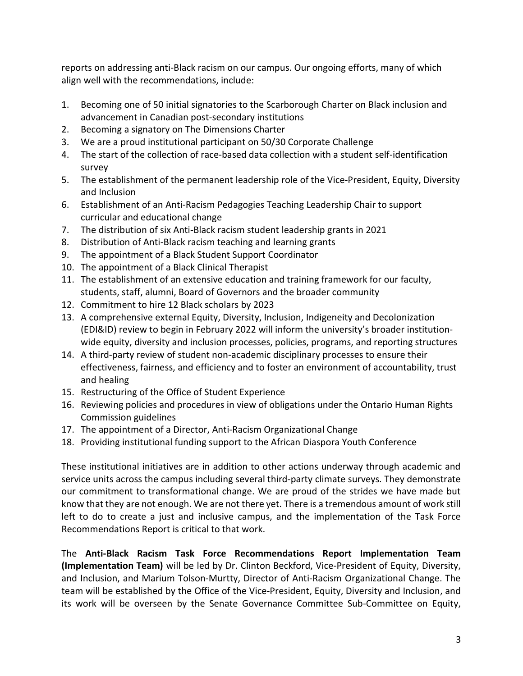reports on addressing anti-Black racism on our campus. Our ongoing efforts, many of which align well with the recommendations, include:

- 1. Becoming one of 50 initial signatories to the Scarborough Charter on Black inclusion and advancement in Canadian post-secondary institutions
- 2. Becoming a signatory on The Dimensions Charter
- 3. We are a proud institutional participant on 50/30 Corporate Challenge
- 4. The start of the collection of race-based data collection with a student self-identification survey
- 5. The establishment of the permanent leadership role of the Vice-President, Equity, Diversity and Inclusion
- 6. Establishment of an Anti-Racism Pedagogies Teaching Leadership Chair to support curricular and educational change
- 7. The distribution of six Anti-Black racism student leadership grants in 2021
- 8. Distribution of Anti-Black racism teaching and learning grants
- 9. The appointment of a Black Student Support Coordinator
- 10. The appointment of a Black Clinical Therapist
- 11. The establishment of an extensive education and training framework for our faculty, students, staff, alumni, Board of Governors and the broader community
- 12. Commitment to hire 12 Black scholars by 2023
- 13. A comprehensive external Equity, Diversity, Inclusion, Indigeneity and Decolonization (EDI&ID) review to begin in February 2022 will inform the university's broader institutionwide equity, diversity and inclusion processes, policies, programs, and reporting structures
- 14. A third-party review of student non-academic disciplinary processes to ensure their effectiveness, fairness, and efficiency and to foster an environment of accountability, trust and healing
- 15. Restructuring of the Office of Student Experience
- 16. Reviewing policies and procedures in view of obligations under the Ontario Human Rights Commission guidelines
- 17. The appointment of a Director, Anti-Racism Organizational Change
- 18. Providing institutional funding support to the African Diaspora Youth Conference

These institutional initiatives are in addition to other actions underway through academic and service units across the campus including several third-party climate surveys. They demonstrate our commitment to transformational change. We are proud of the strides we have made but know that they are not enough. We are not there yet. There is a tremendous amount of work still left to do to create a just and inclusive campus, and the implementation of the Task Force Recommendations Report is critical to that work.

The Anti-Black Racism Task Force Recommendations Report Implementation Team (Implementation Team) will be led by Dr. Clinton Beckford, Vice-President of Equity, Diversity, and Inclusion, and Marium Tolson-Murtty, Director of Anti-Racism Organizational Change. The team will be established by the Office of the Vice-President, Equity, Diversity and Inclusion, and its work will be overseen by the Senate Governance Committee Sub-Committee on Equity,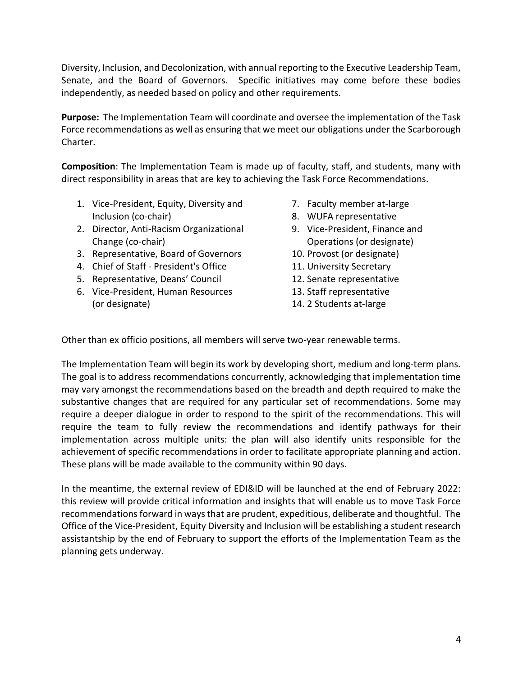Diversity, Inclusion, and Decolonization, with annual reporting to the Executive Leadership Team, Senate, and the Board of Governors. Specific initiatives may come before these bodies independently, as needed based on policy and other requirements.

Purpose: The Implementation Team will coordinate and oversee the implementation of the Task Force recommendations as well as ensuring that we meet our obligations under the Scarborough Charter.

Composition: The Implementation Team is made up of faculty, staff, and students, many with direct responsibility in areas that are key to achieving the Task Force Recommendations.

- 1. Vice-President, Equity, Diversity and Inclusion (co-chair)
- 2. Director, Anti-Racism Organizational Change (co-chair)
- 3. Representative, Board of Governors
- 4. Chief of Staff President's Office
- 5. Representative, Deans' Council
- 6. Vice-President, Human Resources (or designate)
- 7. Faculty member at-large
- 8. WUFA representative
- 9. Vice-President, Finance and Operations (or designate)
- 10. Provost (or designate)
- 11. University Secretary
- 12. Senate representative
- 13. Staff representative
- 14. 2 Students at-large

Other than ex officio positions, all members will serve two-year renewable terms.

The Implementation Team will begin its work by developing short, medium and long-term plans. The goal is to address recommendations concurrently, acknowledging that implementation time may vary amongst the recommendations based on the breadth and depth required to make the substantive changes that are required for any particular set of recommendations. Some may require a deeper dialogue in order to respond to the spirit of the recommendations. This will require the team to fully review the recommendations and identify pathways for their implementation across multiple units: the plan will also identify units responsible for the achievement of specific recommendations in order to facilitate appropriate planning and action. These plans will be made available to the community within 90 days.

In the meantime, the external review of EDI&ID will be launched at the end of February 2022: this review will provide critical information and insights that will enable us to move Task Force recommendations forward in ways that are prudent, expeditious, deliberate and thoughtful. The Office of the Vice-President, Equity Diversity and Inclusion will be establishing a student research assistantship by the end of February to support the efforts of the Implementation Team as the planning gets underway.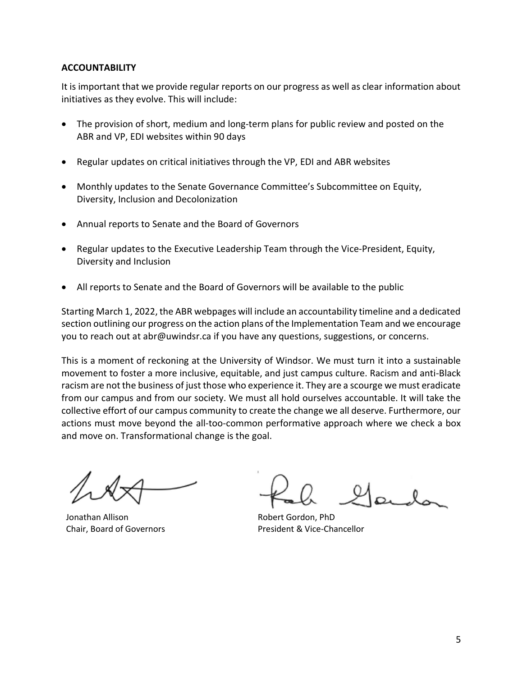## ACCOUNTABILITY

It is important that we provide regular reports on our progress as well as clear information about initiatives as they evolve. This will include:

- The provision of short, medium and long-term plans for public review and posted on the ABR and VP, EDI websites within 90 days
- Regular updates on critical initiatives through the VP, EDI and ABR websites
- Monthly updates to the Senate Governance Committee's Subcommittee on Equity, Diversity, Inclusion and Decolonization
- Annual reports to Senate and the Board of Governors
- Regular updates to the Executive Leadership Team through the Vice-President, Equity, Diversity and Inclusion
- All reports to Senate and the Board of Governors will be available to the public

Starting March 1, 2022, the ABR webpages will include an accountability timeline and a dedicated section outlining our progress on the action plans of the Implementation Team and we encourage you to reach out at abr@uwindsr.ca if you have any questions, suggestions, or concerns.

This is a moment of reckoning at the University of Windsor. We must turn it into a sustainable movement to foster a more inclusive, equitable, and just campus culture. Racism and anti-Black racism are not the business of just those who experience it. They are a scourge we must eradicate from our campus and from our society. We must all hold ourselves accountable. It will take the collective effort of our campus community to create the change we all deserve. Furthermore, our actions must move beyond the all-too-common performative approach where we check a box and move on. Transformational change is the goal.

Jonathan Allison Chair, Board of Governors

Robert Gordon, PhD President & Vice-Chancellor